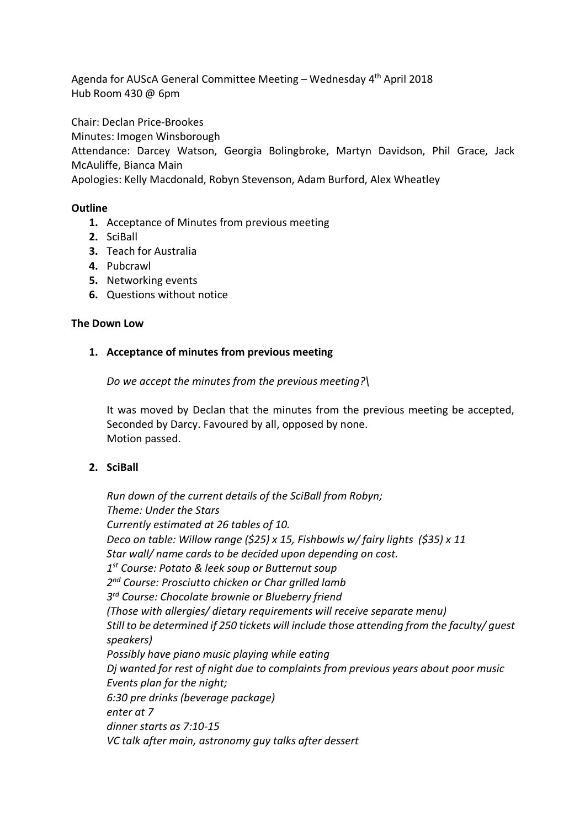Agenda for AUScA General Committee Meeting – Wednesday 4th April 2018 Hub Room 430 @ 6pm

Chair: Declan Price-Brookes

Minutes: Imogen Winsborough

Attendance: Darcey Watson, Georgia Bolingbroke, Martyn Davidson, Phil Grace, Jack McAuliffe, Bianca Main

Apologies: Kelly Macdonald, Robyn Stevenson, Adam Burford, Alex Wheatley

## **Outline**

- **1.** Acceptance of Minutes from previous meeting
- **2.** SciBall
- **3.** Teach for Australia
- **4.** Pubcrawl
- **5.** Networking events
- **6.** Questions without notice

#### **The Down Low**

## **1. Acceptance of minutes from previous meeting**

*Do we accept the minutes from the previous meeting?\*

It was moved by Declan that the minutes from the previous meeting be accepted, Seconded by Darcy. Favoured by all, opposed by none. Motion passed.

## **2. SciBall**

*Run down of the current details of the SciBall from Robyn; Theme: Under the Stars Currently estimated at 26 tables of 10. Deco on table: Willow range (\$25) x 15, Fishbowls w/ fairy lights (\$35) x 11 Star wall/ name cards to be decided upon depending on cost. 1st Course: Potato & leek soup or Butternut soup 2nd Course: Prosciutto chicken or Char grilled lamb 3rd Course: Chocolate brownie or Blueberry friend (Those with allergies/ dietary requirements will receive separate menu) Still to be determined if 250 tickets will include those attending from the faculty/ guest speakers) Possibly have piano music playing while eating Dj wanted for rest of night due to complaints from previous years about poor music Events plan for the night; 6:30 pre drinks (beverage package) enter at 7 dinner starts as 7:10-15 VC talk after main, astronomy guy talks after dessert*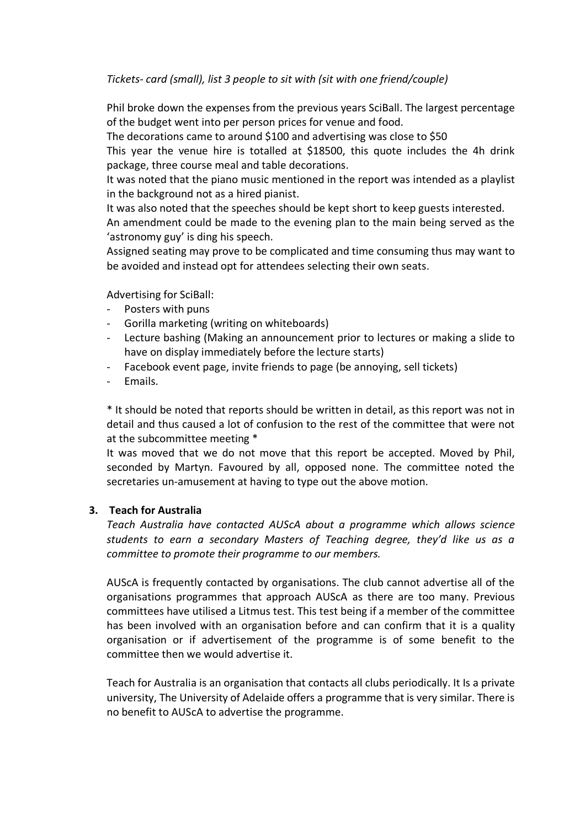*Tickets- card (small), list 3 people to sit with (sit with one friend/couple)*

Phil broke down the expenses from the previous years SciBall. The largest percentage of the budget went into per person prices for venue and food.

The decorations came to around \$100 and advertising was close to \$50

This year the venue hire is totalled at \$18500, this quote includes the 4h drink package, three course meal and table decorations.

It was noted that the piano music mentioned in the report was intended as a playlist in the background not as a hired pianist.

It was also noted that the speeches should be kept short to keep guests interested.

An amendment could be made to the evening plan to the main being served as the 'astronomy guy' is ding his speech.

Assigned seating may prove to be complicated and time consuming thus may want to be avoided and instead opt for attendees selecting their own seats.

Advertising for SciBall:

- Posters with puns
- Gorilla marketing (writing on whiteboards)
- Lecture bashing (Making an announcement prior to lectures or making a slide to have on display immediately before the lecture starts)
- Facebook event page, invite friends to page (be annoying, sell tickets)
- Emails.

\* It should be noted that reports should be written in detail, as this report was not in detail and thus caused a lot of confusion to the rest of the committee that were not at the subcommittee meeting \*

It was moved that we do not move that this report be accepted. Moved by Phil, seconded by Martyn. Favoured by all, opposed none. The committee noted the secretaries un-amusement at having to type out the above motion.

# **3. Teach for Australia**

*Teach Australia have contacted AUScA about a programme which allows science students to earn a secondary Masters of Teaching degree, they'd like us as a committee to promote their programme to our members.*

AUScA is frequently contacted by organisations. The club cannot advertise all of the organisations programmes that approach AUScA as there are too many. Previous committees have utilised a Litmus test. This test being if a member of the committee has been involved with an organisation before and can confirm that it is a quality organisation or if advertisement of the programme is of some benefit to the committee then we would advertise it.

Teach for Australia is an organisation that contacts all clubs periodically. It Is a private university, The University of Adelaide offers a programme that is very similar. There is no benefit to AUScA to advertise the programme.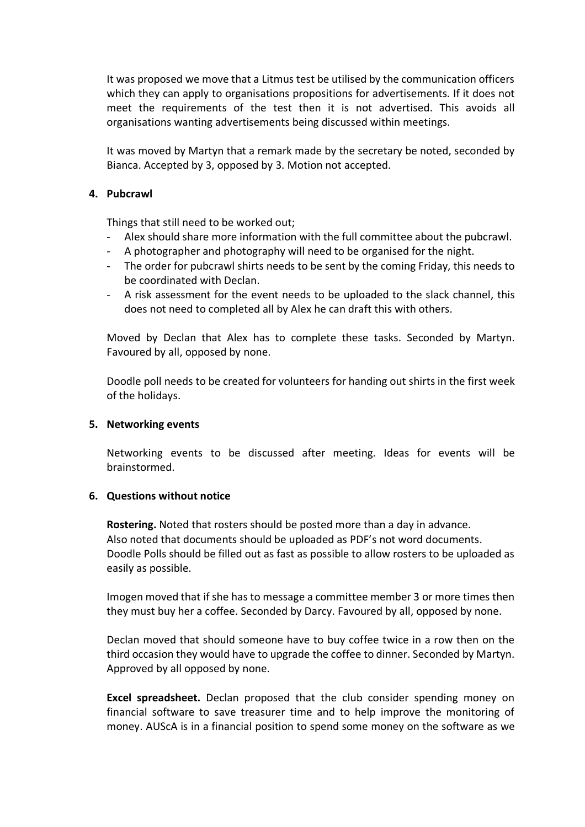It was proposed we move that a Litmus test be utilised by the communication officers which they can apply to organisations propositions for advertisements. If it does not meet the requirements of the test then it is not advertised. This avoids all organisations wanting advertisements being discussed within meetings.

It was moved by Martyn that a remark made by the secretary be noted, seconded by Bianca. Accepted by 3, opposed by 3. Motion not accepted.

### **4. Pubcrawl**

Things that still need to be worked out;

- Alex should share more information with the full committee about the pubcrawl.
- A photographer and photography will need to be organised for the night.
- The order for pubcrawl shirts needs to be sent by the coming Friday, this needs to be coordinated with Declan.
- A risk assessment for the event needs to be uploaded to the slack channel, this does not need to completed all by Alex he can draft this with others.

Moved by Declan that Alex has to complete these tasks. Seconded by Martyn. Favoured by all, opposed by none.

Doodle poll needs to be created for volunteers for handing out shirts in the first week of the holidays.

## **5. Networking events**

Networking events to be discussed after meeting. Ideas for events will be brainstormed.

## **6. Questions without notice**

**Rostering.** Noted that rosters should be posted more than a day in advance. Also noted that documents should be uploaded as PDF's not word documents. Doodle Polls should be filled out as fast as possible to allow rosters to be uploaded as easily as possible.

Imogen moved that if she has to message a committee member 3 or more times then they must buy her a coffee. Seconded by Darcy. Favoured by all, opposed by none.

Declan moved that should someone have to buy coffee twice in a row then on the third occasion they would have to upgrade the coffee to dinner. Seconded by Martyn. Approved by all opposed by none.

**Excel spreadsheet.** Declan proposed that the club consider spending money on financial software to save treasurer time and to help improve the monitoring of money. AUScA is in a financial position to spend some money on the software as we